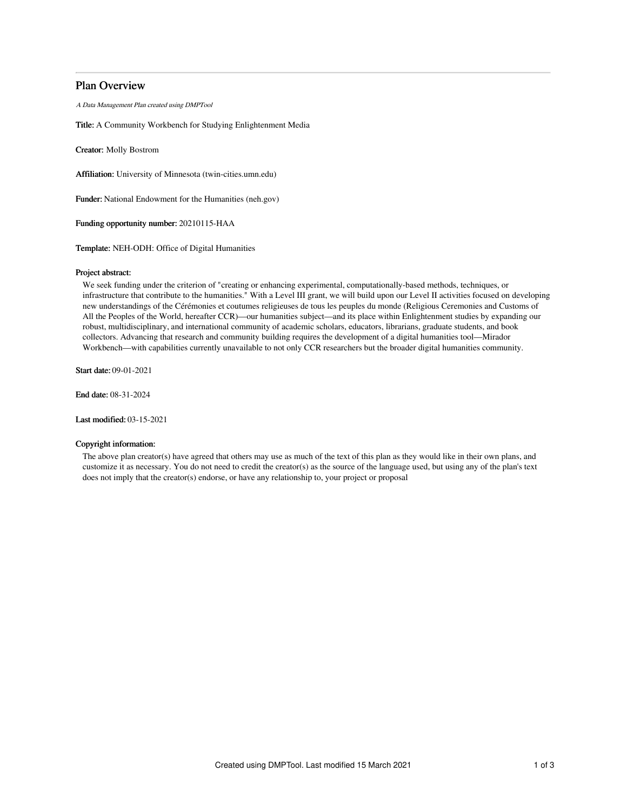# Plan Overview

A Data Management Plan created using DMPTool

Title: A Community Workbench for Studying Enlightenment Media

Creator: Molly Bostrom

Affiliation: University of Minnesota (twin-cities.umn.edu)

Funder: National Endowment for the Humanities (neh.gov)

Funding opportunity number: 20210115-HAA

Template: NEH-ODH: Office of Digital Humanities

## Project abstract:

We seek funding under the criterion of "creating or enhancing experimental, computationally-based methods, techniques, or infrastructure that contribute to the humanities." With a Level III grant, we will build upon our Level II activities focused on developing new understandings of the Cérémonies et coutumes religieuses de tous les peuples du monde (Religious Ceremonies and Customs of All the Peoples of the World, hereafter CCR)—our humanities subject—and its place within Enlightenment studies by expanding our robust, multidisciplinary, and international community of academic scholars, educators, librarians, graduate students, and book collectors. Advancing that research and community building requires the development of a digital humanities tool—Mirador Workbench—with capabilities currently unavailable to not only CCR researchers but the broader digital humanities community.

Start date: 09-01-2021

End date: 08-31-2024

Last modified: 03-15-2021

# Copyright information:

The above plan creator(s) have agreed that others may use as much of the text of this plan as they would like in their own plans, and customize it as necessary. You do not need to credit the creator(s) as the source of the language used, but using any of the plan's text does not imply that the creator(s) endorse, or have any relationship to, your project or proposal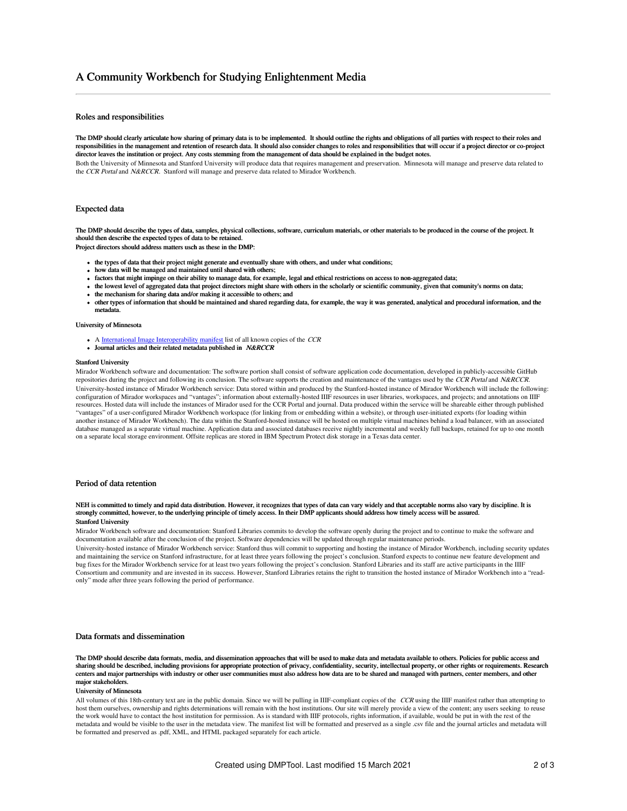# A Community Workbench for Studying Enlightenment Media

# Roles and responsibilities

The DMP should clearly articulate how sharing of primary data is to be implemented. It should outline the rights and obligations of all parties with respect to their roles and responsibilities in the management and retention of research data. It should also consider changes to roles and responsibilities that will occur if a project director or co-project director leaves the institution or project. Any costs stemming from the management of data should be explained in the budget notes. Both the University of Minnesota and Stanford University will produce data that requires management and preservation. Minnesota will manage and preserve data related to the CCR Portal and N&RCCR. Stanford will manage and preserve data related to Mirador Workbench.

# Expected data

The DMP should describe the types of data, samples, physical collections, software, curriculum materials, or other materials to be produced in the course of the project. It should then describe the expected types of data to be retained.

Project directors should address matters usch as these in the DMP:

- the types of data that their project might generate and eventually share with others, and under what conditions;
- how data will be managed and maintained until shared with others;
- factors that might impinge on their ability to manage data, for example, legal and ethical restrictions on access to non-aggregated data;
- the lowest level of aggregated data that project directors might share with others in the scholarly or scientific community, given that comunity's norms on data;
- the mechanism for sharing data and/or making it accessible to others; and
- other types of information that should be maintained and shared regarding data, for example, the way it was generated, analytical and procedural information, and the metadata.

#### University of Minnesota

- A International Image [Interoperability](https://iiif.io) [manifest](https://iiif.io/api/presentation/2.0/#manifest) list of all known copies of the CCR
- Journal articles and their related metadata published in N&RCCR

#### Stanford University

Mirador Workbench software and documentation: The software portion shall consist of software application code documentation, developed in publicly-accessible GitHub repositories during the project and following its conclusion. The software supports the creation and maintenance of the vantages used by the CCR Portal and N&RCCR. University-hosted instance of Mirador Workbench service: Data stored within and produced by the Stanford-hosted instance of Mirador Workbench will include the following: configuration of Mirador workspaces and "vantages"; information about externally-hosted IIIF resources in user libraries, workspaces, and projects; and annotations on IIIF resources. Hosted data will include the instances of Mirador used for the CCR Portal and journal. Data produced within the service will be shareable either through published "vantages" of a user-configured Mirador Workbench workspace (for linking from or embedding within a website), or through user-initiated exports (for loading within another instance of Mirador Workbench). The data within the Stanford-hosted instance will be hosted on multiple virtual machines behind a load balancer, with an associated database managed as a separate virtual machine. Application data and associated databases receive nightly incremental and weekly full backups, retained for up to one month on a separate local storage environment. Offsite replicas are stored in IBM Spectrum Protect disk storage in a Texas data center.

# Period of data retention

### NEH is committed to timely and rapid data distribution. However, it recognizes that types of data can vary widely and that acceptable norms also vary by discipline. It is strongly committed, however, to the underlying principle of timely access. In their DMP applicants should address how timely access will be assured. Stanford University

Mirador Workbench software and documentation: Stanford Libraries commits to develop the software openly during the project and to continue to make the software and documentation available after the conclusion of the project. Software dependencies will be updated through regular maintenance periods.

University-hosted instance of Mirador Workbench service: Stanford thus will commit to supporting and hosting the instance of Mirador Workbench, including security updates and maintaining the service on Stanford infrastructure, for at least three years following the project's conclusion. Stanford expects to continue new feature development and bug fixes for the Mirador Workbench service for at least two years following the project's conclusion. Stanford Libraries and its staff are active participants in the IIIF Consortium and community and are invested in its success. However, Stanford Libraries retains the right to transition the hosted instance of Mirador Workbench into a "readonly" mode after three years following the period of performance.

# Data formats and dissemination

The DMP should describe data formats, media, and dissemination approaches that will be used to make data and metadata available to others. Policies for public access and sharing should be described, including provisions for appropriate protection of privacy, confidentiality, security, intellectual property, or other rights or requirements. Research<br>centers and major partnerships with indus major stakeholders.

### University of Minnesota

All volumes of this 18th-century text are in the public domain. Since we will be pulling in IIIF-compliant copies of the  $CCR$  using the IIIF manifest rather than attempting to host them ourselves, ownership and rights determinations will remain with the host institutions. Our site will merely provide a view of the content; any users seeking to reuse the work would have to contact the host institution for permission. As is standard with IIIF protocols, rights information, if available, would be put in with the rest of the metadata and would be visible to the user in the metadata view. The manifest list will be formatted and preserved as a single .csv file and the journal articles and metadata will be formatted and preserved as .pdf, XML, and HTML packaged separately for each article.